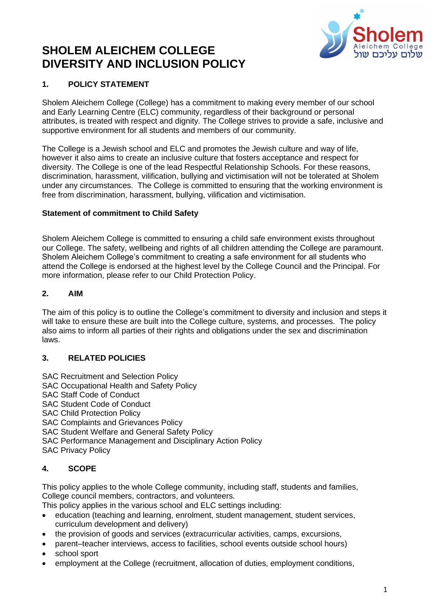# **SHOLEM ALEICHEM COLLEGE DIVERSITY AND INCLUSION POLICY**



# **1. POLICY STATEMENT**

Sholem Aleichem College (College) has a commitment to making every member of our school and Early Learning Centre (ELC) community, regardless of their background or personal attributes, is treated with respect and dignity. The College strives to provide a safe, inclusive and supportive environment for all students and members of our community.

The College is a Jewish school and ELC and promotes the Jewish culture and way of life, however it also aims to create an inclusive culture that fosters acceptance and respect for diversity. The College is one of the lead Respectful Relationship Schools. For these reasons, discrimination, harassment, vilification, bullying and victimisation will not be tolerated at Sholem under any circumstances. The College is committed to ensuring that the working environment is free from discrimination, harassment, bullying, vilification and victimisation.

# **Statement of commitment to Child Safety**

Sholem Aleichem College is committed to ensuring a child safe environment exists throughout our College. The safety, wellbeing and rights of all children attending the College are paramount. Sholem Aleichem College's commitment to creating a safe environment for all students who attend the College is endorsed at the highest level by the College Council and the Principal. For more information, please refer to our Child Protection Policy.

# **2. AIM**

The aim of this policy is to outline the College's commitment to diversity and inclusion and steps it will take to ensure these are built into the College culture, systems, and processes. The policy also aims to inform all parties of their rights and obligations under the sex and discrimination laws.

# **3. RELATED POLICIES**

SAC Recruitment and Selection Policy

SAC Occupational Health and Safety Policy

SAC Staff Code of Conduct

SAC Student Code of Conduct

SAC Child Protection Policy

SAC Complaints and Grievances Policy

SAC Student Welfare and General Safety Policy

SAC Performance Management and Disciplinary Action Policy

SAC Privacy Policy

# **4. SCOPE**

This policy applies to the whole College community, including staff, students and families, College council members, contractors, and volunteers.

This policy applies in the various school and ELC settings including:

- education (teaching and learning, enrolment, student management, student services, curriculum development and delivery)
- the provision of goods and services (extracurricular activities, camps, excursions,
- parent–teacher interviews, access to facilities, school events outside school hours)
- school sport
- employment at the College (recruitment, allocation of duties, employment conditions,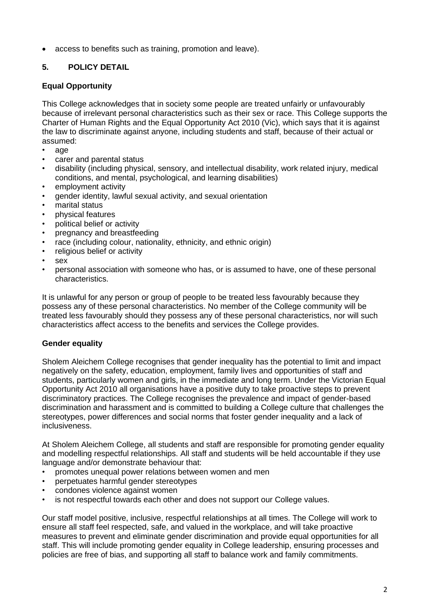• access to benefits such as training, promotion and leave).

# **5. POLICY DETAIL**

# **Equal Opportunity**

This College acknowledges that in society some people are treated unfairly or unfavourably because of irrelevant personal characteristics such as their sex or race. This College supports the Charter of Human Rights and the Equal Opportunity Act 2010 (Vic), which says that it is against the law to discriminate against anyone, including students and staff, because of their actual or assumed:

- age
- carer and parental status
- disability (including physical, sensory, and intellectual disability, work related injury, medical conditions, and mental, psychological, and learning disabilities)
- employment activity
- gender identity, lawful sexual activity, and sexual orientation
- marital status
- physical features
- political belief or activity
- pregnancy and breastfeeding
- race (including colour, nationality, ethnicity, and ethnic origin)
- religious belief or activity
- sex
- personal association with someone who has, or is assumed to have, one of these personal characteristics.

It is unlawful for any person or group of people to be treated less favourably because they possess any of these personal characteristics. No member of the College community will be treated less favourably should they possess any of these personal characteristics, nor will such characteristics affect access to the benefits and services the College provides.

# **Gender equality**

Sholem Aleichem College recognises that gender inequality has the potential to limit and impact negatively on the safety, education, employment, family lives and opportunities of staff and students, particularly women and girls, in the immediate and long term. Under the Victorian Equal Opportunity Act 2010 all organisations have a positive duty to take proactive steps to prevent discriminatory practices. The College recognises the prevalence and impact of gender-based discrimination and harassment and is committed to building a College culture that challenges the stereotypes, power differences and social norms that foster gender inequality and a lack of inclusiveness.

At Sholem Aleichem College, all students and staff are responsible for promoting gender equality and modelling respectful relationships. All staff and students will be held accountable if they use language and/or demonstrate behaviour that:

- promotes unequal power relations between women and men
- perpetuates harmful gender stereotypes
- condones violence against women
- is not respectful towards each other and does not support our College values.

Our staff model positive, inclusive, respectful relationships at all times. The College will work to ensure all staff feel respected, safe, and valued in the workplace, and will take proactive measures to prevent and eliminate gender discrimination and provide equal opportunities for all staff. This will include promoting gender equality in College leadership, ensuring processes and policies are free of bias, and supporting all staff to balance work and family commitments.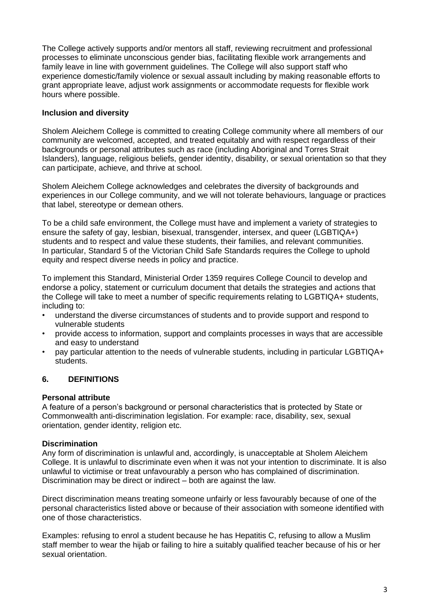The College actively supports and/or mentors all staff, reviewing recruitment and professional processes to eliminate unconscious gender bias, facilitating flexible work arrangements and family leave in line with government guidelines. The College will also support staff who experience domestic/family violence or sexual assault including by making reasonable efforts to grant appropriate leave, adjust work assignments or accommodate requests for flexible work hours where possible.

### **Inclusion and diversity**

Sholem Aleichem College is committed to creating College community where all members of our community are welcomed, accepted, and treated equitably and with respect regardless of their backgrounds or personal attributes such as race (including Aboriginal and Torres Strait Islanders), language, religious beliefs, gender identity, disability, or sexual orientation so that they can participate, achieve, and thrive at school.

Sholem Aleichem College acknowledges and celebrates the diversity of backgrounds and experiences in our College community, and we will not tolerate behaviours, language or practices that label, stereotype or demean others.

To be a child safe environment, the College must have and implement a variety of strategies to ensure the safety of gay, lesbian, bisexual, transgender, intersex, and queer (LGBTIQA+) students and to respect and value these students, their families, and relevant communities. In particular, Standard 5 of the Victorian Child Safe Standards requires the College to uphold equity and respect diverse needs in policy and practice.

To implement this Standard, Ministerial Order 1359 requires College Council to develop and endorse a policy, statement or curriculum document that details the strategies and actions that the College will take to meet a number of specific requirements relating to LGBTIQA+ students, including to:

- understand the diverse circumstances of students and to provide support and respond to vulnerable students
- provide access to information, support and complaints processes in ways that are accessible and easy to understand
- pay particular attention to the needs of vulnerable students, including in particular LGBTIQA+ students.

#### **6. DEFINITIONS**

#### **Personal attribute**

A feature of a person's background or personal characteristics that is protected by State or Commonwealth anti-discrimination legislation. For example: race, disability, sex, sexual orientation, gender identity, religion etc.

#### **Discrimination**

Any form of discrimination is unlawful and, accordingly, is unacceptable at Sholem Aleichem College. It is unlawful to discriminate even when it was not your intention to discriminate. It is also unlawful to victimise or treat unfavourably a person who has complained of discrimination. Discrimination may be direct or indirect – both are against the law.

Direct discrimination means treating someone unfairly or less favourably because of one of the personal characteristics listed above or because of their association with someone identified with one of those characteristics.

Examples: refusing to enrol a student because he has Hepatitis C, refusing to allow a Muslim staff member to wear the hijab or failing to hire a suitably qualified teacher because of his or her sexual orientation.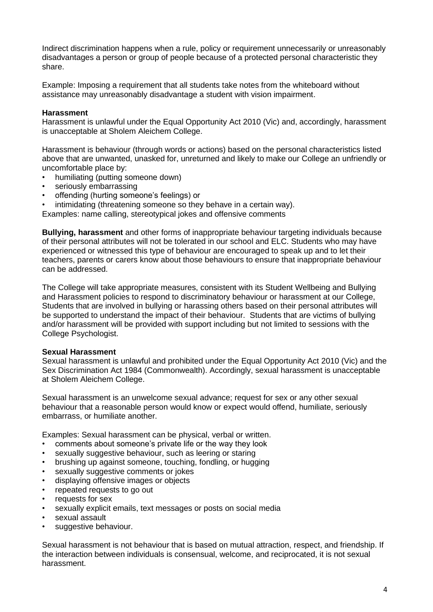Indirect discrimination happens when a rule, policy or requirement unnecessarily or unreasonably disadvantages a person or group of people because of a protected personal characteristic they share.

Example: Imposing a requirement that all students take notes from the whiteboard without assistance may unreasonably disadvantage a student with vision impairment.

#### **Harassment**

Harassment is unlawful under the Equal Opportunity Act 2010 (Vic) and, accordingly, harassment is unacceptable at Sholem Aleichem College.

Harassment is behaviour (through words or actions) based on the personal characteristics listed above that are unwanted, unasked for, unreturned and likely to make our College an unfriendly or uncomfortable place by:

- humiliating (putting someone down)
- seriously embarrassing
- offending (hurting someone's feelings) or
- intimidating (threatening someone so they behave in a certain way).

Examples: name calling, stereotypical jokes and offensive comments

**Bullying, harassment** and other forms of inappropriate behaviour targeting individuals because of their personal attributes will not be tolerated in our school and ELC. Students who may have experienced or witnessed this type of behaviour are encouraged to speak up and to let their teachers, parents or carers know about those behaviours to ensure that inappropriate behaviour can be addressed.

The College will take appropriate measures, consistent with its Student Wellbeing and Bullying and Harassment policies to respond to discriminatory behaviour or harassment at our College, Students that are involved in bullying or harassing others based on their personal attributes will be supported to understand the impact of their behaviour. Students that are victims of bullying and/or harassment will be provided with support including but not limited to sessions with the College Psychologist.

#### **Sexual Harassment**

Sexual harassment is unlawful and prohibited under the Equal Opportunity Act 2010 (Vic) and the Sex Discrimination Act 1984 (Commonwealth). Accordingly, sexual harassment is unacceptable at Sholem Aleichem College.

Sexual harassment is an unwelcome sexual advance; request for sex or any other sexual behaviour that a reasonable person would know or expect would offend, humiliate, seriously embarrass, or humiliate another.

Examples: Sexual harassment can be physical, verbal or written.

- comments about someone's private life or the way they look
- sexually suggestive behaviour, such as leering or staring
- brushing up against someone, touching, fondling, or hugging
- sexually suggestive comments or jokes
- displaying offensive images or objects
- repeated requests to go out
- requests for sex
- sexually explicit emails, text messages or posts on social media
- sexual assault
- suggestive behaviour.

Sexual harassment is not behaviour that is based on mutual attraction, respect, and friendship. If the interaction between individuals is consensual, welcome, and reciprocated, it is not sexual harassment.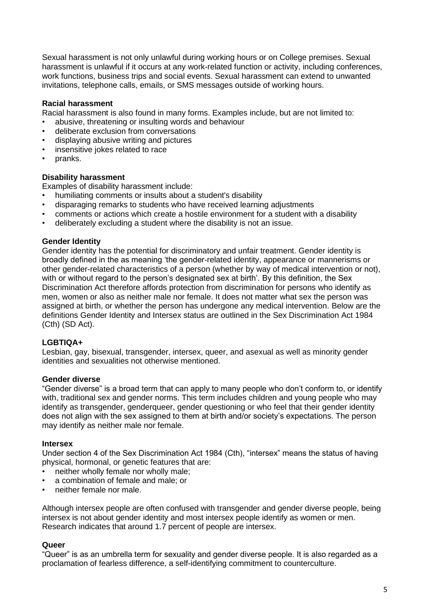Sexual harassment is not only unlawful during working hours or on College premises. Sexual harassment is unlawful if it occurs at any work-related function or activity, including conferences, work functions, business trips and social events. Sexual harassment can extend to unwanted invitations, telephone calls, emails, or SMS messages outside of working hours.

#### **Racial harassment**

Racial harassment is also found in many forms. Examples include, but are not limited to:

- abusive, threatening or insulting words and behaviour
- deliberate exclusion from conversations
- displaying abusive writing and pictures
- insensitive jokes related to race
- pranks.

#### **Disability harassment**

Examples of disability harassment include:

- humiliating comments or insults about a student's disability
- disparaging remarks to students who have received learning adjustments
- comments or actions which create a hostile environment for a student with a disability
- deliberately excluding a student where the disability is not an issue.

#### **Gender Identity**

Gender identity has the potential for discriminatory and unfair treatment. Gender identity is broadly defined in the as meaning 'the gender-related identity, appearance or mannerisms or other gender-related characteristics of a person (whether by way of medical intervention or not), with or without regard to the person's designated sex at birth'. By this definition, the Sex Discrimination Act therefore affords protection from discrimination for persons who identify as men, women or also as neither male nor female. It does not matter what sex the person was assigned at birth, or whether the person has undergone any medical intervention. Below are the definitions Gender Identity and Intersex status are outlined in the Sex Discrimination Act 1984 (Cth) (SD Act).

# **LGBTIQA+**

Lesbian, gay, bisexual, transgender, intersex, queer, and asexual as well as minority gender identities and sexualities not otherwise mentioned.

#### **Gender diverse**

"Gender diverse" is a broad term that can apply to many people who don't conform to, or identify with, traditional sex and gender norms. This term includes children and young people who may identify as transgender, genderqueer, gender questioning or who feel that their gender identity does not align with the sex assigned to them at birth and/or society's expectations. The person may identify as neither male nor female.

#### **Intersex**

Under section 4 of the Sex Discrimination Act 1984 (Cth), "intersex" means the status of having physical, hormonal, or genetic features that are:

- neither wholly female nor wholly male;
- a combination of female and male; or
- neither female nor male.

Although intersex people are often confused with transgender and gender diverse people, being intersex is not about gender identity and most intersex people identify as women or men. Research indicates that around 1.7 percent of people are intersex.

#### **Queer**

"Queer" is as an umbrella term for sexuality and gender diverse people. It is also regarded as a proclamation of fearless difference, a self-identifying commitment to counterculture.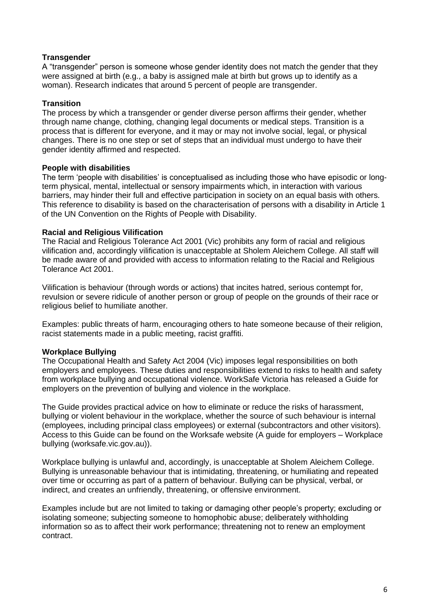#### **Transgender**

A "transgender" person is someone whose gender identity does not match the gender that they were assigned at birth (e.g., a baby is assigned male at birth but grows up to identify as a woman). Research indicates that around 5 percent of people are transgender.

#### **Transition**

The process by which a transgender or gender diverse person affirms their gender, whether through name change, clothing, changing legal documents or medical steps. Transition is a process that is different for everyone, and it may or may not involve social, legal, or physical changes. There is no one step or set of steps that an individual must undergo to have their gender identity affirmed and respected.

#### **People with disabilities**

The term 'people with disabilities' is conceptualised as including those who have episodic or longterm physical, mental, intellectual or sensory impairments which, in interaction with various barriers, may hinder their full and effective participation in society on an equal basis with others. This reference to disability is based on the characterisation of persons with a disability in Article 1 of the UN Convention on the Rights of People with Disability.

#### **Racial and Religious Vilification**

The Racial and Religious Tolerance Act 2001 (Vic) prohibits any form of racial and religious vilification and, accordingly vilification is unacceptable at Sholem Aleichem College. All staff will be made aware of and provided with access to information relating to the Racial and Religious Tolerance Act 2001.

Vilification is behaviour (through words or actions) that incites hatred, serious contempt for, revulsion or severe ridicule of another person or group of people on the grounds of their race or religious belief to humiliate another.

Examples: public threats of harm, encouraging others to hate someone because of their religion, racist statements made in a public meeting, racist graffiti.

#### **Workplace Bullying**

The Occupational Health and Safety Act 2004 (Vic) imposes legal responsibilities on both employers and employees. These duties and responsibilities extend to risks to health and safety from workplace bullying and occupational violence. WorkSafe Victoria has released a Guide for employers on the prevention of bullying and violence in the workplace.

The Guide provides practical advice on how to eliminate or reduce the risks of harassment, bullying or violent behaviour in the workplace, whether the source of such behaviour is internal (employees, including principal class employees) or external (subcontractors and other visitors). Access to this Guide can be found on the Worksafe website [\(A guide for employers –](https://content.api.worksafe.vic.gov.au/sites/default/files/2020-04/ISBN-Workplace-bullying-guide-for-employers-2020-04.pdf) Workplace [bullying \(worksafe.vic.gov.au\)\)](https://content.api.worksafe.vic.gov.au/sites/default/files/2020-04/ISBN-Workplace-bullying-guide-for-employers-2020-04.pdf).

Workplace bullying is unlawful and, accordingly, is unacceptable at Sholem Aleichem College. Bullying is unreasonable behaviour that is intimidating, threatening, or humiliating and repeated over time or occurring as part of a pattern of behaviour. Bullying can be physical, verbal, or indirect, and creates an unfriendly, threatening, or offensive environment.

Examples include but are not limited to taking or damaging other people's property; excluding or isolating someone; subjecting someone to homophobic abuse; deliberately withholding information so as to affect their work performance; threatening not to renew an employment contract.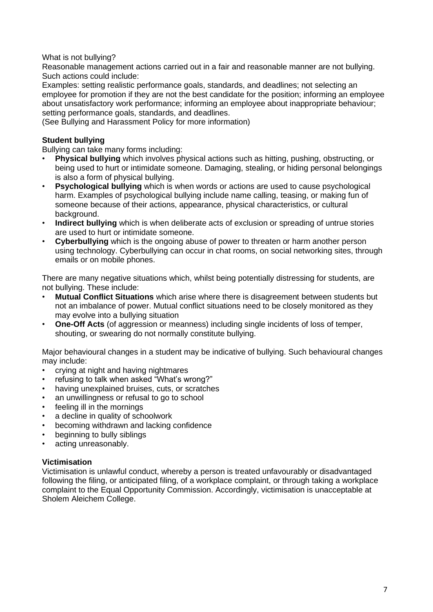What is not bullying?

Reasonable management actions carried out in a fair and reasonable manner are not bullying. Such actions could include:

Examples: setting realistic performance goals, standards, and deadlines; not selecting an employee for promotion if they are not the best candidate for the position; informing an employee about unsatisfactory work performance; informing an employee about inappropriate behaviour; setting performance goals, standards, and deadlines.

(See Bullying and Harassment Policy for more information)

#### **Student bullying**

Bullying can take many forms including:

- **Physical bullying** which involves physical actions such as hitting, pushing, obstructing, or being used to hurt or intimidate someone. Damaging, stealing, or hiding personal belongings is also a form of physical bullying.
- **Psychological bullying** which is when words or actions are used to cause psychological harm. Examples of psychological bullying include name calling, teasing, or making fun of someone because of their actions, appearance, physical characteristics, or cultural background.
- **Indirect bullying** which is when deliberate acts of exclusion or spreading of untrue stories are used to hurt or intimidate someone.
- **Cyberbullying** which is the ongoing abuse of power to threaten or harm another person using technology. Cyberbullying can occur in chat rooms, on social networking sites, through emails or on mobile phones.

There are many negative situations which, whilst being potentially distressing for students, are not bullying. These include:

- **Mutual Conflict Situations** which arise where there is disagreement between students but not an imbalance of power. Mutual conflict situations need to be closely monitored as they may evolve into a bullying situation
- **One-Off Acts** (of aggression or meanness) including single incidents of loss of temper, shouting, or swearing do not normally constitute bullying.

Major behavioural changes in a student may be indicative of bullying. Such behavioural changes may include:

- crying at night and having nightmares
- refusing to talk when asked "What's wrong?"
- having unexplained bruises, cuts, or scratches
- an unwillingness or refusal to go to school
- feeling ill in the mornings
- a decline in quality of schoolwork
- becoming withdrawn and lacking confidence
- beginning to bully siblings
- acting unreasonably.

#### **Victimisation**

Victimisation is unlawful conduct, whereby a person is treated unfavourably or disadvantaged following the filing, or anticipated filing, of a workplace complaint, or through taking a workplace complaint to the Equal Opportunity Commission. Accordingly, victimisation is unacceptable at Sholem Aleichem College.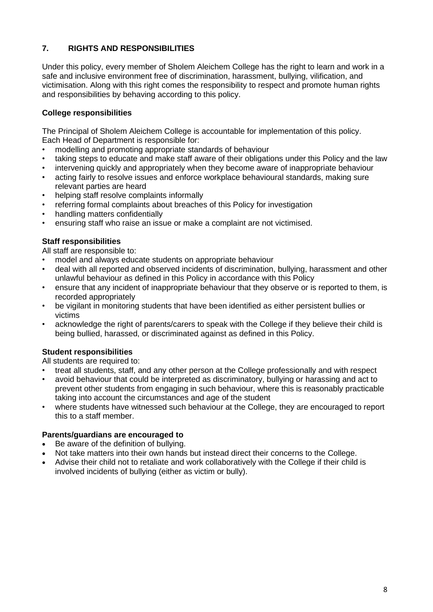# **7. RIGHTS AND RESPONSIBILITIES**

Under this policy, every member of Sholem Aleichem College has the right to learn and work in a safe and inclusive environment free of discrimination, harassment, bullying, vilification, and victimisation. Along with this right comes the responsibility to respect and promote human rights and responsibilities by behaving according to this policy.

# **College responsibilities**

The Principal of Sholem Aleichem College is accountable for implementation of this policy. Each Head of Department is responsible for:

- modelling and promoting appropriate standards of behaviour
- taking steps to educate and make staff aware of their obligations under this Policy and the law
- intervening quickly and appropriately when they become aware of inappropriate behaviour
- acting fairly to resolve issues and enforce workplace behavioural standards, making sure relevant parties are heard
- helping staff resolve complaints informally
- referring formal complaints about breaches of this Policy for investigation
- handling matters confidentially
- ensuring staff who raise an issue or make a complaint are not victimised.

#### **Staff responsibilities**

All staff are responsible to:

- model and always educate students on appropriate behaviour
- deal with all reported and observed incidents of discrimination, bullying, harassment and other unlawful behaviour as defined in this Policy in accordance with this Policy
- ensure that any incident of inappropriate behaviour that they observe or is reported to them, is recorded appropriately
- be vigilant in monitoring students that have been identified as either persistent bullies or victims
- acknowledge the right of parents/carers to speak with the College if they believe their child is being bullied, harassed, or discriminated against as defined in this Policy.

# **Student responsibilities**

All students are required to:

- treat all students, staff, and any other person at the College professionally and with respect
- avoid behaviour that could be interpreted as discriminatory, bullying or harassing and act to prevent other students from engaging in such behaviour, where this is reasonably practicable taking into account the circumstances and age of the student
- where students have witnessed such behaviour at the College, they are encouraged to report this to a staff member.

# **Parents/guardians are encouraged to**

- Be aware of the definition of bullying.
- Not take matters into their own hands but instead direct their concerns to the College.
- Advise their child not to retaliate and work collaboratively with the College if their child is involved incidents of bullying (either as victim or bully).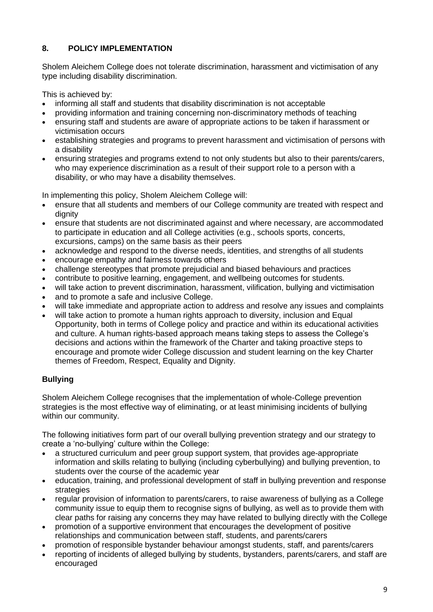# **8. POLICY IMPLEMENTATION**

Sholem Aleichem College does not tolerate discrimination, harassment and victimisation of any type including disability discrimination.

This is achieved by:

- informing all staff and students that disability discrimination is not acceptable
- providing information and training concerning non-discriminatory methods of teaching
- ensuring staff and students are aware of appropriate actions to be taken if harassment or victimisation occurs
- establishing strategies and programs to prevent harassment and victimisation of persons with a disability
- ensuring strategies and programs extend to not only students but also to their parents/carers, who may experience discrimination as a result of their support role to a person with a disability, or who may have a disability themselves.

In implementing this policy, Sholem Aleichem College will:

- ensure that all students and members of our College community are treated with respect and dianity
- ensure that students are not discriminated against and where necessary, are accommodated to participate in education and all College activities (e.g., schools sports, concerts, excursions, camps) on the same basis as their peers
- acknowledge and respond to the diverse needs, identities, and strengths of all students
- encourage empathy and fairness towards others
- challenge stereotypes that promote prejudicial and biased behaviours and practices
- contribute to positive learning, engagement, and wellbeing outcomes for students.
- will take action to prevent discrimination, harassment, vilification, bullying and victimisation
- and to promote a safe and inclusive College.
- will take immediate and appropriate action to address and resolve any issues and complaints
- will take action to promote a human rights approach to diversity, inclusion and Equal Opportunity, both in terms of College policy and practice and within its educational activities and culture. A human rights-based approach means taking steps to assess the College's decisions and actions within the framework of the Charter and taking proactive steps to encourage and promote wider College discussion and student learning on the key Charter themes of Freedom, Respect, Equality and Dignity.

# **Bullying**

Sholem Aleichem College recognises that the implementation of whole-College prevention strategies is the most effective way of eliminating, or at least minimising incidents of bullying within our community.

The following initiatives form part of our overall bullying prevention strategy and our strategy to create a 'no-bullying' culture within the College:

- a structured curriculum and peer group support system, that provides age-appropriate information and skills relating to bullying (including cyberbullying) and bullying prevention, to students over the course of the academic year
- education, training, and professional development of staff in bullying prevention and response strategies
- regular provision of information to parents/carers, to raise awareness of bullying as a College community issue to equip them to recognise signs of bullying, as well as to provide them with clear paths for raising any concerns they may have related to bullying directly with the College
- promotion of a supportive environment that encourages the development of positive relationships and communication between staff, students, and parents/carers
- promotion of responsible bystander behaviour amongst students, staff, and parents/carers
- reporting of incidents of alleged bullying by students, bystanders, parents/carers, and staff are encouraged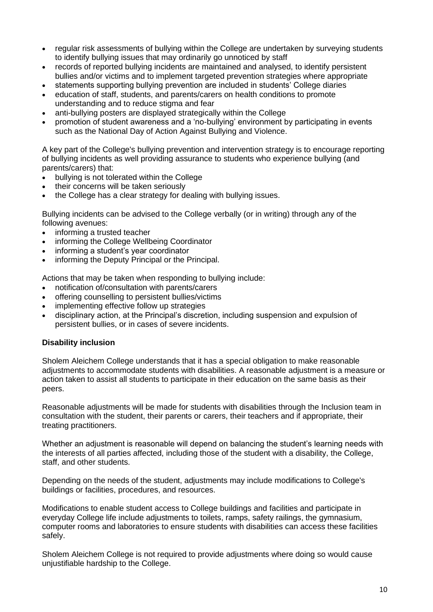- regular risk assessments of bullying within the College are undertaken by surveying students to identify bullying issues that may ordinarily go unnoticed by staff
- records of reported bullying incidents are maintained and analysed, to identify persistent bullies and/or victims and to implement targeted prevention strategies where appropriate
- statements supporting bullying prevention are included in students' College diaries
- education of staff, students, and parents/carers on health conditions to promote understanding and to reduce stigma and fear
- anti-bullying posters are displayed strategically within the College
- promotion of student awareness and a 'no-bullying' environment by participating in events such as the National Day of Action Against Bullying and Violence.

A key part of the College's bullying prevention and intervention strategy is to encourage reporting of bullying incidents as well providing assurance to students who experience bullying (and parents/carers) that:

- bullying is not tolerated within the College
- their concerns will be taken seriously
- the College has a clear strategy for dealing with bullying issues.

Bullying incidents can be advised to the College verbally (or in writing) through any of the following avenues:

- informing a trusted teacher
- informing the College Wellbeing Coordinator
- informing a student's year coordinator
- informing the Deputy Principal or the Principal.

Actions that may be taken when responding to bullying include:

- notification of/consultation with parents/carers
- offering counselling to persistent bullies/victims
- implementing effective follow up strategies
- disciplinary action, at the Principal's discretion, including suspension and expulsion of persistent bullies, or in cases of severe incidents.

#### **Disability inclusion**

Sholem Aleichem College understands that it has a special obligation to make reasonable adjustments to accommodate students with disabilities. A reasonable adjustment is a measure or action taken to assist all students to participate in their education on the same basis as their peers.

Reasonable adjustments will be made for students with disabilities through the Inclusion team in consultation with the student, their parents or carers, their teachers and if appropriate, their treating practitioners.

Whether an adjustment is reasonable will depend on balancing the student's learning needs with the interests of all parties affected, including those of the student with a disability, the College, staff, and other students.

Depending on the needs of the student, adjustments may include modifications to College's buildings or facilities, procedures, and resources.

Modifications to enable student access to College buildings and facilities and participate in everyday College life include adjustments to toilets, ramps, safety railings, the gymnasium, computer rooms and laboratories to ensure students with disabilities can access these facilities safely.

Sholem Aleichem College is not required to provide adjustments where doing so would cause unjustifiable hardship to the College.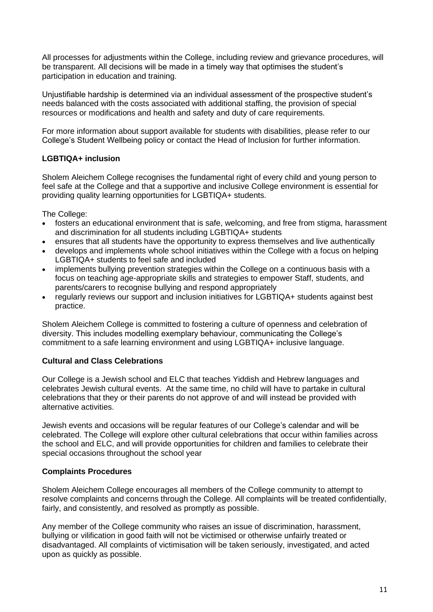All processes for adjustments within the College, including review and grievance procedures, will be transparent. All decisions will be made in a timely way that optimises the student's participation in education and training.

Unjustifiable hardship is determined via an individual assessment of the prospective student's needs balanced with the costs associated with additional staffing, the provision of special resources or modifications and health and safety and duty of care requirements.

For more information about support available for students with disabilities, please refer to our College's Student Wellbeing policy or contact the Head of Inclusion for further information.

#### **LGBTIQA+ inclusion**

Sholem Aleichem College recognises the fundamental right of every child and young person to feel safe at the College and that a supportive and inclusive College environment is essential for providing quality learning opportunities for LGBTIQA+ students.

The College:

- fosters an educational environment that is safe, welcoming, and free from stigma, harassment and discrimination for all students including LGBTIQA+ students
- ensures that all students have the opportunity to express themselves and live authentically
- develops and implements whole school initiatives within the College with a focus on helping LGBTIQA+ students to feel safe and included
- implements bullying prevention strategies within the College on a continuous basis with a focus on teaching age-appropriate skills and strategies to empower Staff, students, and parents/carers to recognise bullying and respond appropriately
- regularly reviews our support and inclusion initiatives for LGBTIQA+ students against best practice.

Sholem Aleichem College is committed to fostering a culture of openness and celebration of diversity. This includes modelling exemplary behaviour, communicating the College's commitment to a safe learning environment and using LGBTIQA+ inclusive language.

# **Cultural and Class Celebrations**

Our College is a Jewish school and ELC that teaches Yiddish and Hebrew languages and celebrates Jewish cultural events. At the same time, no child will have to partake in cultural celebrations that they or their parents do not approve of and will instead be provided with alternative activities.

Jewish events and occasions will be regular features of our College's calendar and will be celebrated. The College will explore other cultural celebrations that occur within families across the school and ELC, and will provide opportunities for children and families to celebrate their special occasions throughout the school year

# **Complaints Procedures**

Sholem Aleichem College encourages all members of the College community to attempt to resolve complaints and concerns through the College. All complaints will be treated confidentially, fairly, and consistently, and resolved as promptly as possible.

Any member of the College community who raises an issue of discrimination, harassment, bullying or vilification in good faith will not be victimised or otherwise unfairly treated or disadvantaged. All complaints of victimisation will be taken seriously, investigated, and acted upon as quickly as possible.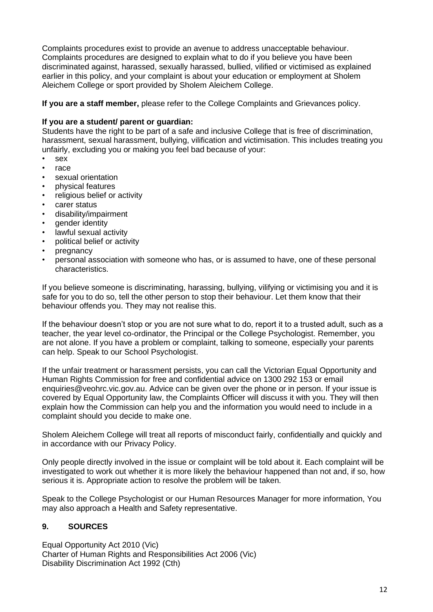Complaints procedures exist to provide an avenue to address unacceptable behaviour. Complaints procedures are designed to explain what to do if you believe you have been discriminated against, harassed, sexually harassed, bullied, vilified or victimised as explained earlier in this policy, and your complaint is about your education or employment at Sholem Aleichem College or sport provided by Sholem Aleichem College.

**If you are a staff member,** please refer to the College Complaints and Grievances policy.

#### **If you are a student/ parent or guardian:**

Students have the right to be part of a safe and inclusive College that is free of discrimination, harassment, sexual harassment, bullying, vilification and victimisation. This includes treating you unfairly, excluding you or making you feel bad because of your:

- sex
- race
- sexual orientation
- physical features
- religious belief or activity
- carer status
- disability/impairment
- gender identity
- lawful sexual activity
- political belief or activity
- pregnancy
- personal association with someone who has, or is assumed to have, one of these personal characteristics.

If you believe someone is discriminating, harassing, bullying, vilifying or victimising you and it is safe for you to do so, tell the other person to stop their behaviour. Let them know that their behaviour offends you. They may not realise this.

If the behaviour doesn't stop or you are not sure what to do, report it to a trusted adult, such as a teacher, the year level co-ordinator, the Principal or the College Psychologist. Remember, you are not alone. If you have a problem or complaint, talking to someone, especially your parents can help. Speak to our School Psychologist.

If the unfair treatment or harassment persists, you can call the Victorian Equal Opportunity and Human Rights Commission for free and confidential advice on 1300 292 153 or email enquiries@veohrc.vic.gov.au. Advice can be given over the phone or in person. If your issue is covered by Equal Opportunity law, the Complaints Officer will discuss it with you. They will then explain how the Commission can help you and the information you would need to include in a complaint should you decide to make one.

Sholem Aleichem College will treat all reports of misconduct fairly, confidentially and quickly and in accordance with our Privacy Policy.

Only people directly involved in the issue or complaint will be told about it. Each complaint will be investigated to work out whether it is more likely the behaviour happened than not and, if so, how serious it is. Appropriate action to resolve the problem will be taken.

Speak to the College Psychologist or our Human Resources Manager for more information, You may also approach a Health and Safety representative.

# **9. SOURCES**

Equal Opportunity Act 2010 (Vic) Charter of Human Rights and Responsibilities Act 2006 (Vic) Disability Discrimination Act 1992 (Cth)